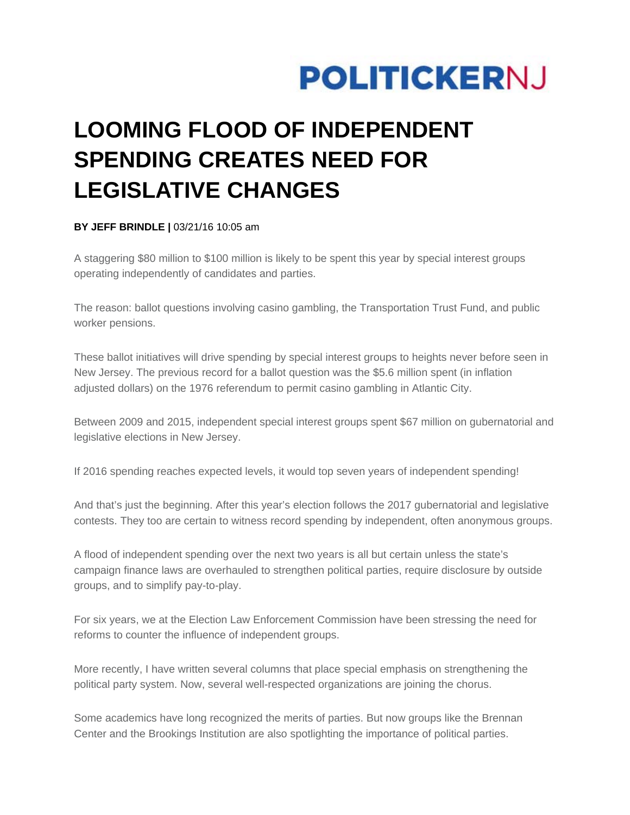

# **LOOMING FLOOD OF INDEPENDENT SPENDING CREATES NEED FOR LEGISLATIVE CHANGES**

## **BY JEFF BRINDLE |** 03/21/16 10:05 am

A staggering \$80 million to \$100 million is likely to be spent this year by special interest groups operating independently of candidates and parties.

The reason: ballot questions involving casino gambling, the Transportation Trust Fund, and public worker pensions.

These ballot initiatives will drive spending by special interest groups to heights never before seen in New Jersey. The previous record for a ballot question was the \$5.6 million spent (in inflation adjusted dollars) on the 1976 referendum to permit casino gambling in Atlantic City.

Between 2009 and 2015, independent special interest groups spent \$67 million on gubernatorial and legislative elections in New Jersey.

If 2016 spending reaches expected levels, it would top seven years of independent spending!

And that's just the beginning. After this year's election follows the 2017 gubernatorial and legislative contests. They too are certain to witness record spending by independent, often anonymous groups.

A flood of independent spending over the next two years is all but certain unless the state's campaign finance laws are overhauled to strengthen political parties, require disclosure by outside groups, and to simplify pay-to-play.

For six years, we at the Election Law Enforcement Commission have been stressing the need for reforms to counter the influence of independent groups.

More recently, I have written several columns that place special emphasis on strengthening the political party system. Now, several well-respected organizations are joining the chorus.

Some academics have long recognized the merits of parties. But now groups like the Brennan Center and the Brookings Institution are also spotlighting the importance of political parties.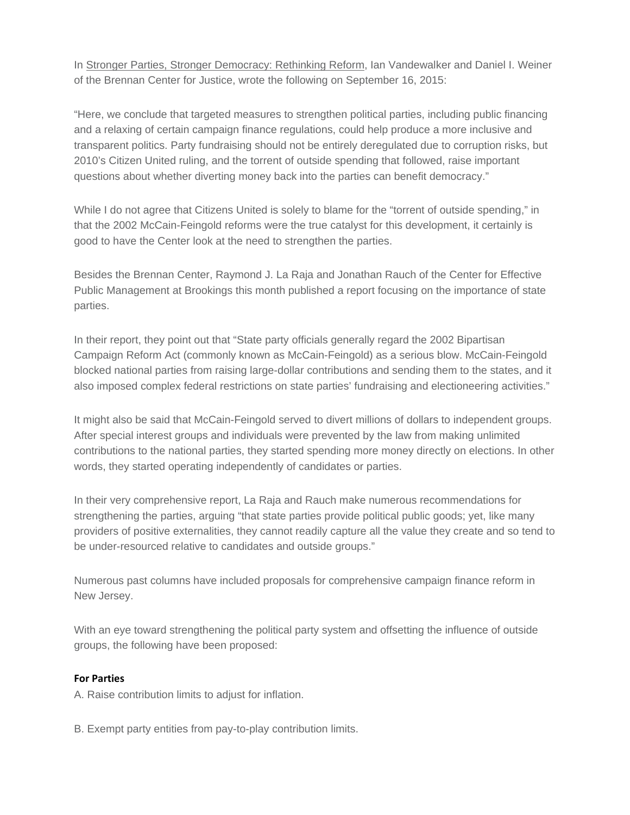In Stronger Parties, Stronger Democracy: Rethinking Reform, Ian Vandewalker and Daniel I. Weiner of the Brennan Center for Justice, wrote the following on September 16, 2015:

"Here, we conclude that targeted measures to strengthen political parties, including public financing and a relaxing of certain campaign finance regulations, could help produce a more inclusive and transparent politics. Party fundraising should not be entirely deregulated due to corruption risks, but 2010's Citizen United ruling, and the torrent of outside spending that followed, raise important questions about whether diverting money back into the parties can benefit democracy."

While I do not agree that Citizens United is solely to blame for the "torrent of outside spending," in that the 2002 McCain-Feingold reforms were the true catalyst for this development, it certainly is good to have the Center look at the need to strengthen the parties.

Besides the Brennan Center, Raymond J. La Raja and Jonathan Rauch of the Center for Effective Public Management at Brookings this month published a report focusing on the importance of state parties.

In their report, they point out that "State party officials generally regard the 2002 Bipartisan Campaign Reform Act (commonly known as McCain-Feingold) as a serious blow. McCain-Feingold blocked national parties from raising large-dollar contributions and sending them to the states, and it also imposed complex federal restrictions on state parties' fundraising and electioneering activities."

It might also be said that McCain-Feingold served to divert millions of dollars to independent groups. After special interest groups and individuals were prevented by the law from making unlimited contributions to the national parties, they started spending more money directly on elections. In other words, they started operating independently of candidates or parties.

In their very comprehensive report, La Raja and Rauch make numerous recommendations for strengthening the parties, arguing "that state parties provide political public goods; yet, like many providers of positive externalities, they cannot readily capture all the value they create and so tend to be under-resourced relative to candidates and outside groups."

Numerous past columns have included proposals for comprehensive campaign finance reform in New Jersey.

With an eye toward strengthening the political party system and offsetting the influence of outside groups, the following have been proposed:

# **For Parties**

A. Raise contribution limits to adjust for inflation.

B. Exempt party entities from pay-to-play contribution limits.